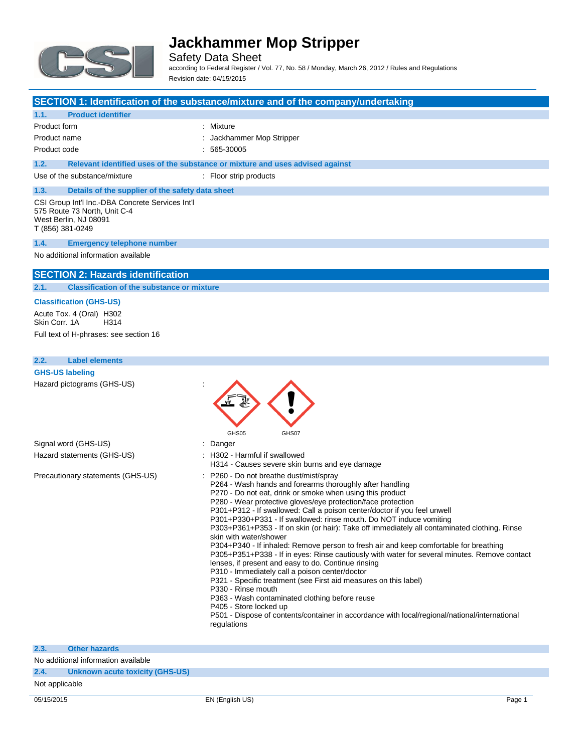

Safety Data Sheet according to Federal Register / Vol. 77, No. 58 / Monday, March 26, 2012 / Rules and Regulations Revision date: 04/15/2015

### **SECTION 1: Identification of the substance/mixture and of the company/undertaking**

### **1.1. Product identifier**

| Product form |                                                  | : Mixture                                                                     |
|--------------|--------------------------------------------------|-------------------------------------------------------------------------------|
| Product name |                                                  | : Jackhammer Mop Stripper                                                     |
| Product code |                                                  | $: 565-30005$                                                                 |
| 1.2.         |                                                  | Relevant identified uses of the substance or mixture and uses advised against |
|              | Use of the substance/mixture                     | : Floor strip products                                                        |
| 1.3.         | Details of the supplier of the safety data sheet |                                                                               |

#### CSI Group Int'l Inc.-DBA Concrete Services Int'l 575 Route 73 North, Unit C-4 West Berlin, NJ 08091 T (856) 381-0249

#### **1.4. Emergency telephone number**

#### No additional information available

### **SECTION 2: Hazards identification**

**2.1. Classification of the substance or mixture**

#### **Classification (GHS-US)**

Acute Tox. 4 (Oral) H302<br>Skin Corr. 1A H314 Skin Corr. 1A Full text of H-phrases: see section 16

#### **2.2. Label elements**

| <b>GHS-US labeling</b>            |                                                                                                                                                                                                                                                                                                                                                                                                                                                                                                                                                                                                                                                                                                                                                                                                                                                                                                                                                                                                                                                                                                      |
|-----------------------------------|------------------------------------------------------------------------------------------------------------------------------------------------------------------------------------------------------------------------------------------------------------------------------------------------------------------------------------------------------------------------------------------------------------------------------------------------------------------------------------------------------------------------------------------------------------------------------------------------------------------------------------------------------------------------------------------------------------------------------------------------------------------------------------------------------------------------------------------------------------------------------------------------------------------------------------------------------------------------------------------------------------------------------------------------------------------------------------------------------|
| Hazard pictograms (GHS-US)        | GHS05<br>GHS07                                                                                                                                                                                                                                                                                                                                                                                                                                                                                                                                                                                                                                                                                                                                                                                                                                                                                                                                                                                                                                                                                       |
| Signal word (GHS-US)              | : Danger                                                                                                                                                                                                                                                                                                                                                                                                                                                                                                                                                                                                                                                                                                                                                                                                                                                                                                                                                                                                                                                                                             |
| Hazard statements (GHS-US)        | : H302 - Harmful if swallowed<br>H314 - Causes severe skin burns and eye damage                                                                                                                                                                                                                                                                                                                                                                                                                                                                                                                                                                                                                                                                                                                                                                                                                                                                                                                                                                                                                      |
| Precautionary statements (GHS-US) | : P260 - Do not breathe dust/mist/spray<br>P264 - Wash hands and forearms thoroughly after handling<br>P270 - Do not eat, drink or smoke when using this product<br>P280 - Wear protective gloves/eye protection/face protection<br>P301+P312 - If swallowed: Call a poison center/doctor if you feel unwell<br>P301+P330+P331 - If swallowed: rinse mouth. Do NOT induce vomiting<br>P303+P361+P353 - If on skin (or hair): Take off immediately all contaminated clothing. Rinse<br>skin with water/shower<br>P304+P340 - If inhaled: Remove person to fresh air and keep comfortable for breathing<br>P305+P351+P338 - If in eyes: Rinse cautiously with water for several minutes. Remove contact<br>lenses, if present and easy to do. Continue rinsing<br>P310 - Immediately call a poison center/doctor<br>P321 - Specific treatment (see First aid measures on this label)<br>P330 - Rinse mouth<br>P363 - Wash contaminated clothing before reuse<br>P405 - Store locked up<br>P501 - Dispose of contents/container in accordance with local/regional/national/international<br>regulations |

### **2.3. Other hazards** No additional information available

**2.4. Unknown acute toxicity (GHS-US)**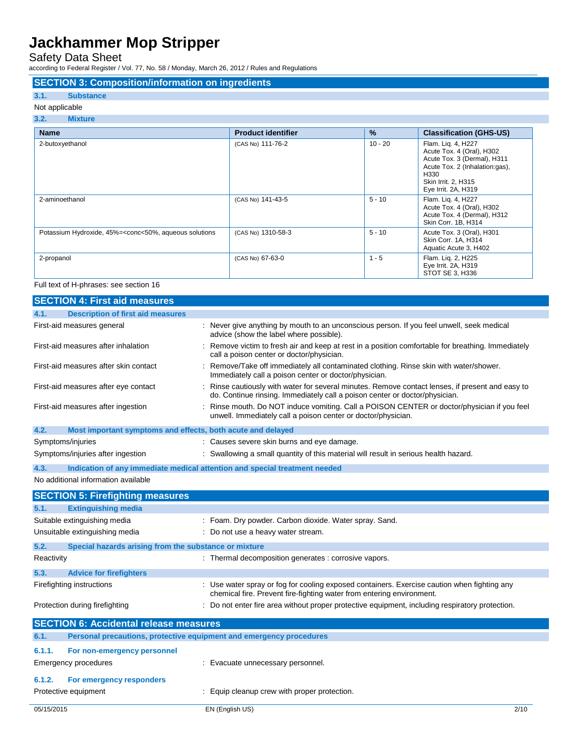Safety Data Sheet

according to Federal Register / Vol. 77, No. 58 / Monday, March 26, 2012 / Rules and Regulations

### **SECTION 3: Composition/information on ingredients**

#### **3.1. Substance**

#### Not applicable

| 3.2.<br><b>Mixture</b>                                                                                                                                                                                                      |                           |               |                                                                                                                                                                        |
|-----------------------------------------------------------------------------------------------------------------------------------------------------------------------------------------------------------------------------|---------------------------|---------------|------------------------------------------------------------------------------------------------------------------------------------------------------------------------|
| <b>Name</b>                                                                                                                                                                                                                 | <b>Product identifier</b> | $\frac{9}{6}$ | <b>Classification (GHS-US)</b>                                                                                                                                         |
| 2-butoxyethanol                                                                                                                                                                                                             | (CAS No) 111-76-2         | $10 - 20$     | Flam. Lig. 4, H227<br>Acute Tox. 4 (Oral), H302<br>Acute Tox. 3 (Dermal), H311<br>Acute Tox. 2 (Inhalation:gas),<br>H330<br>Skin Irrit. 2, H315<br>Eye Irrit. 2A, H319 |
| 2-aminoethanol                                                                                                                                                                                                              | (CAS No) 141-43-5         | $5 - 10$      | Flam. Lig. 4, H227<br>Acute Tox. 4 (Oral), H302<br>Acute Tox. 4 (Dermal), H312<br>Skin Corr. 1B, H314                                                                  |
| Potassium Hydroxide, 45%= <conc<50%, aqueous="" solutions<="" td=""><td>(CAS No) 1310-58-3</td><td><math>5 - 10</math></td><td>Acute Tox. 3 (Oral), H301<br/>Skin Corr. 1A, H314<br/>Aquatic Acute 3, H402</td></conc<50%,> | (CAS No) 1310-58-3        | $5 - 10$      | Acute Tox. 3 (Oral), H301<br>Skin Corr. 1A, H314<br>Aquatic Acute 3, H402                                                                                              |
| 2-propanol                                                                                                                                                                                                                  | (CAS No) 67-63-0          | $1 - 5$       | Flam. Lig. 2, H225<br>Eye Irrit. 2A, H319<br>STOT SE 3, H336                                                                                                           |

#### Full text of H-phrases: see section 16

|            | <b>SECTION 4: First aid measures</b>                                       |                                                                                                                                                                               |
|------------|----------------------------------------------------------------------------|-------------------------------------------------------------------------------------------------------------------------------------------------------------------------------|
| 4.1.       | <b>Description of first aid measures</b>                                   |                                                                                                                                                                               |
|            | First-aid measures general                                                 | : Never give anything by mouth to an unconscious person. If you feel unwell, seek medical<br>advice (show the label where possible).                                          |
|            | First-aid measures after inhalation                                        | Remove victim to fresh air and keep at rest in a position comfortable for breathing. Immediately<br>call a poison center or doctor/physician.                                 |
|            | First-aid measures after skin contact                                      | : Remove/Take off immediately all contaminated clothing. Rinse skin with water/shower.<br>Immediately call a poison center or doctor/physician.                               |
|            | First-aid measures after eye contact                                       | Rinse cautiously with water for several minutes. Remove contact lenses, if present and easy to<br>do. Continue rinsing. Immediately call a poison center or doctor/physician. |
|            | First-aid measures after ingestion                                         | Rinse mouth. Do NOT induce vomiting. Call a POISON CENTER or doctor/physician if you feel<br>unwell. Immediately call a poison center or doctor/physician.                    |
| 4.2.       | Most important symptoms and effects, both acute and delayed                |                                                                                                                                                                               |
|            | Symptoms/injuries                                                          | : Causes severe skin burns and eye damage.                                                                                                                                    |
|            | Symptoms/injuries after ingestion                                          | Swallowing a small quantity of this material will result in serious health hazard.                                                                                            |
| 4.3.       | Indication of any immediate medical attention and special treatment needed |                                                                                                                                                                               |
|            | No additional information available                                        |                                                                                                                                                                               |
|            |                                                                            |                                                                                                                                                                               |
|            | <b>SECTION 5: Firefighting measures</b>                                    |                                                                                                                                                                               |
| 5.1.       | <b>Extinguishing media</b>                                                 |                                                                                                                                                                               |
|            | Suitable extinguishing media                                               | : Foam. Dry powder. Carbon dioxide. Water spray. Sand.                                                                                                                        |
|            | Unsuitable extinguishing media                                             | : Do not use a heavy water stream.                                                                                                                                            |
| 5.2.       | Special hazards arising from the substance or mixture                      |                                                                                                                                                                               |
| Reactivity |                                                                            | : Thermal decomposition generates : corrosive vapors.                                                                                                                         |
| 5.3.       | <b>Advice for firefighters</b>                                             |                                                                                                                                                                               |
|            | Firefighting instructions                                                  | : Use water spray or fog for cooling exposed containers. Exercise caution when fighting any<br>chemical fire. Prevent fire-fighting water from entering environment.          |
|            | Protection during firefighting                                             | : Do not enter fire area without proper protective equipment, including respiratory protection.                                                                               |
|            | <b>SECTION 6: Accidental release measures</b>                              |                                                                                                                                                                               |
| 6.1.       | Personal precautions, protective equipment and emergency procedures        |                                                                                                                                                                               |
| 6.1.1.     | For non-emergency personnel                                                |                                                                                                                                                                               |
|            | <b>Emergency procedures</b>                                                | : Evacuate unnecessary personnel.                                                                                                                                             |
| 6.1.2.     | For emergency responders                                                   |                                                                                                                                                                               |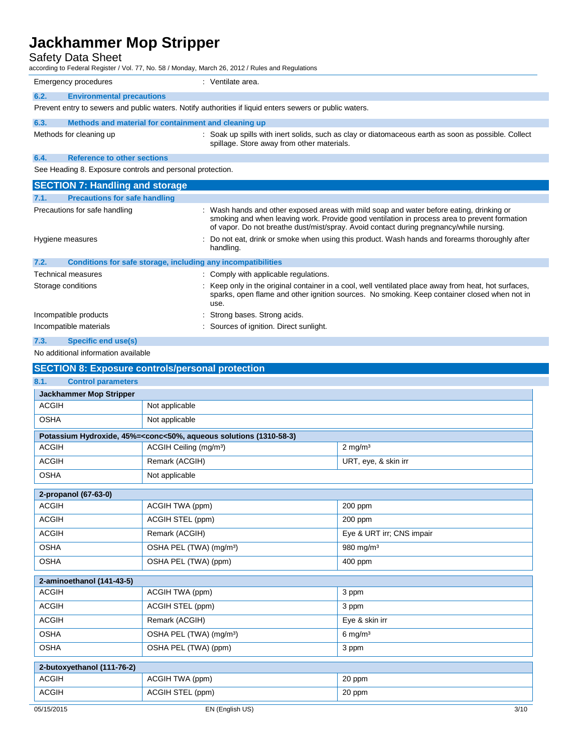## Safety Data Sheet

according to Federal Register / Vol. 77, No. 58 / Monday, March 26, 2012 / Rules and Regulations

|                                                         | Emergency procedures                                                                                    | : Ventilate area.                                                                                                                                                                                                                                                                 |  |
|---------------------------------------------------------|---------------------------------------------------------------------------------------------------------|-----------------------------------------------------------------------------------------------------------------------------------------------------------------------------------------------------------------------------------------------------------------------------------|--|
| 6.2.                                                    | <b>Environmental precautions</b>                                                                        |                                                                                                                                                                                                                                                                                   |  |
|                                                         | Prevent entry to sewers and public waters. Notify authorities if liquid enters sewers or public waters. |                                                                                                                                                                                                                                                                                   |  |
| 6.3.                                                    | Methods and material for containment and cleaning up                                                    |                                                                                                                                                                                                                                                                                   |  |
|                                                         | Methods for cleaning up                                                                                 | : Soak up spills with inert solids, such as clay or diatomaceous earth as soon as possible. Collect<br>spillage. Store away from other materials.                                                                                                                                 |  |
| 6.4.                                                    | <b>Reference to other sections</b>                                                                      |                                                                                                                                                                                                                                                                                   |  |
|                                                         | See Heading 8. Exposure controls and personal protection.                                               |                                                                                                                                                                                                                                                                                   |  |
|                                                         | <b>SECTION 7: Handling and storage</b>                                                                  |                                                                                                                                                                                                                                                                                   |  |
| 7.1.                                                    | <b>Precautions for safe handling</b>                                                                    |                                                                                                                                                                                                                                                                                   |  |
|                                                         | Precautions for safe handling                                                                           | Wash hands and other exposed areas with mild soap and water before eating, drinking or<br>smoking and when leaving work. Provide good ventilation in process area to prevent formation<br>of vapor. Do not breathe dust/mist/spray. Avoid contact during pregnancy/while nursing. |  |
|                                                         | Hygiene measures                                                                                        | Do not eat, drink or smoke when using this product. Wash hands and forearms thoroughly after<br>handling.                                                                                                                                                                         |  |
| 7.2.                                                    | Conditions for safe storage, including any incompatibilities                                            |                                                                                                                                                                                                                                                                                   |  |
|                                                         | <b>Technical measures</b>                                                                               | : Comply with applicable regulations.                                                                                                                                                                                                                                             |  |
|                                                         | Storage conditions                                                                                      | Keep only in the original container in a cool, well ventilated place away from heat, hot surfaces,<br>sparks, open flame and other ignition sources. No smoking. Keep container closed when not in<br>use.                                                                        |  |
|                                                         | Incompatible products                                                                                   | Strong bases. Strong acids.                                                                                                                                                                                                                                                       |  |
|                                                         | Incompatible materials                                                                                  | : Sources of ignition. Direct sunlight.                                                                                                                                                                                                                                           |  |
| 7.3.                                                    | <b>Specific end use(s)</b>                                                                              |                                                                                                                                                                                                                                                                                   |  |
| No additional information available                     |                                                                                                         |                                                                                                                                                                                                                                                                                   |  |
| <b>SECTION 8: Exposure controls/personal protection</b> |                                                                                                         |                                                                                                                                                                                                                                                                                   |  |
| 8.1.                                                    | <b>Control parameters</b>                                                                               |                                                                                                                                                                                                                                                                                   |  |

| 8.1.<br><b>Control parameters</b> |                                                                                                          |                           |
|-----------------------------------|----------------------------------------------------------------------------------------------------------|---------------------------|
| <b>Jackhammer Mop Stripper</b>    |                                                                                                          |                           |
| <b>ACGIH</b>                      | Not applicable                                                                                           |                           |
| <b>OSHA</b>                       | Not applicable                                                                                           |                           |
|                                   | Potassium Hydroxide, 45%= <conc<50%, (1310-58-3)<="" aqueous="" solutions="" td=""><td></td></conc<50%,> |                           |
| <b>ACGIH</b>                      | ACGIH Ceiling (mg/m <sup>3</sup> )                                                                       | $2$ mg/m <sup>3</sup>     |
| <b>ACGIH</b>                      | Remark (ACGIH)                                                                                           | URT, eye, & skin irr      |
| <b>OSHA</b>                       | Not applicable                                                                                           |                           |
| 2-propanol (67-63-0)              |                                                                                                          |                           |
| <b>ACGIH</b>                      | ACGIH TWA (ppm)                                                                                          | 200 ppm                   |
| <b>ACGIH</b>                      | ACGIH STEL (ppm)                                                                                         | 200 ppm                   |
| <b>ACGIH</b>                      | Remark (ACGIH)                                                                                           | Eye & URT irr; CNS impair |
| <b>OSHA</b>                       | OSHA PEL (TWA) (mg/m <sup>3</sup> )                                                                      | 980 mg/m <sup>3</sup>     |
| <b>OSHA</b>                       | OSHA PEL (TWA) (ppm)                                                                                     | 400 ppm                   |
| 2-aminoethanol (141-43-5)         |                                                                                                          |                           |
| <b>ACGIH</b>                      | ACGIH TWA (ppm)                                                                                          | 3 ppm                     |
| <b>ACGIH</b>                      | ACGIH STEL (ppm)                                                                                         | 3 ppm                     |
| <b>ACGIH</b>                      | Remark (ACGIH)                                                                                           | Eye & skin irr            |
| <b>OSHA</b>                       | OSHA PEL (TWA) (mg/m <sup>3</sup> )                                                                      | $6$ mg/m <sup>3</sup>     |
| <b>OSHA</b>                       | OSHA PEL (TWA) (ppm)                                                                                     | 3 ppm                     |
| 2-butoxyethanol (111-76-2)        |                                                                                                          |                           |
| <b>ACGIH</b>                      | ACGIH TWA (ppm)                                                                                          | 20 ppm                    |
| <b>ACGIH</b>                      | ACGIH STEL (ppm)                                                                                         | 20 ppm                    |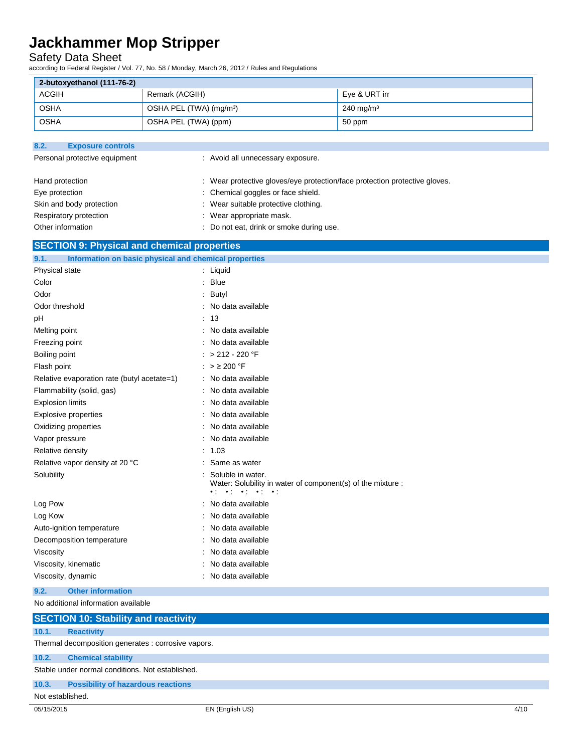Safety Data Sheet

according to Federal Register / Vol. 77, No. 58 / Monday, March 26, 2012 / Rules and Regulations

| 2-butoxyethanol (111-76-2) |                                     |                         |
|----------------------------|-------------------------------------|-------------------------|
| ACGIH                      | Remark (ACGIH)                      | Eve & URT irr           |
| <b>OSHA</b>                | OSHA PEL (TWA) (mg/m <sup>3</sup> ) | $240 \,\mathrm{mg/m^3}$ |
| <b>OSHA</b>                | OSHA PEL (TWA) (ppm)                | 50 ppm                  |

| 8.2.              | <b>Exposure controls</b>      |                                                                            |
|-------------------|-------------------------------|----------------------------------------------------------------------------|
|                   | Personal protective equipment | : Avoid all unnecessary exposure.                                          |
| Hand protection   |                               | : Wear protective gloves/eye protection/face protection protective gloves. |
| Eye protection    |                               | : Chemical goggles or face shield.                                         |
|                   | Skin and body protection      | : Wear suitable protective clothing.                                       |
|                   | Respiratory protection        | : Wear appropriate mask.                                                   |
| Other information |                               | : Do not eat, drink or smoke during use.                                   |

## **SECTION 9: Physical and chemical properties**

| 9.1.<br>Information on basic physical and chemical properties |                                                                                                                                                                |
|---------------------------------------------------------------|----------------------------------------------------------------------------------------------------------------------------------------------------------------|
| Physical state                                                | $:$ Liquid                                                                                                                                                     |
| Color                                                         | : Blue                                                                                                                                                         |
| Odor                                                          | Butyl                                                                                                                                                          |
| Odor threshold                                                | : No data available                                                                                                                                            |
| рH                                                            | : 13                                                                                                                                                           |
| Melting point                                                 | : No data available                                                                                                                                            |
| Freezing point                                                | No data available                                                                                                                                              |
| Boiling point                                                 | $: > 212 - 220$ °F                                                                                                                                             |
| Flash point                                                   | : $> 200$ °F                                                                                                                                                   |
| Relative evaporation rate (butyl acetate=1)                   | : No data available                                                                                                                                            |
| Flammability (solid, gas)                                     | : No data available                                                                                                                                            |
| <b>Explosion limits</b>                                       | : No data available                                                                                                                                            |
| <b>Explosive properties</b>                                   | No data available                                                                                                                                              |
| Oxidizing properties                                          | : No data available                                                                                                                                            |
| Vapor pressure                                                | : No data available                                                                                                                                            |
| Relative density                                              | : 1.03                                                                                                                                                         |
| Relative vapor density at 20 °C                               | Same as water                                                                                                                                                  |
| Solubility                                                    | Soluble in water.<br>Water: Solubility in water of component(s) of the mixture :<br>$\bullet$ to $\bullet$ to $\bullet$ to $\bullet$ to $\bullet$ to $\bullet$ |
| Log Pow                                                       | : No data available                                                                                                                                            |
| Log Kow                                                       | No data available                                                                                                                                              |
| Auto-ignition temperature                                     | No data available                                                                                                                                              |
| Decomposition temperature                                     | No data available                                                                                                                                              |
| Viscosity                                                     | : No data available                                                                                                                                            |
| Viscosity, kinematic                                          | No data available                                                                                                                                              |
| Viscosity, dynamic                                            | : No data available                                                                                                                                            |
| <b>Other information</b><br>9.2.                              |                                                                                                                                                                |
|                                                               |                                                                                                                                                                |

No additional information available

|                  | <b>SECTION 10: Stability and reactivity</b>         |
|------------------|-----------------------------------------------------|
| 10.1.            | <b>Reactivity</b>                                   |
|                  | Thermal decomposition generates : corrosive vapors. |
| 10.2.            | <b>Chemical stability</b>                           |
|                  | Stable under normal conditions. Not established.    |
| 10.3.            | <b>Possibility of hazardous reactions</b>           |
| Not established. |                                                     |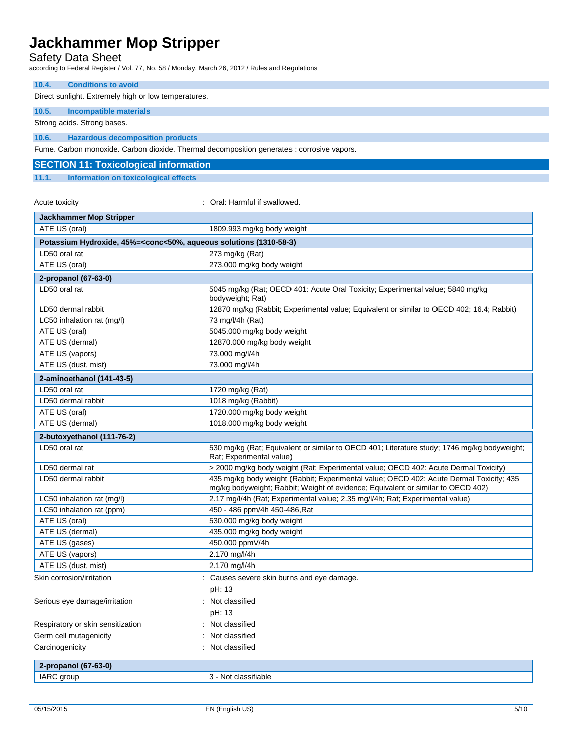## Safety Data Sheet

according to Federal Register / Vol. 77, No. 58 / Monday, March 26, 2012 / Rules and Regulations

#### **10.4. Conditions to avoid**

Direct sunlight. Extremely high or low temperatures.

#### **10.5. Incompatible materials**

Strong acids. Strong bases.

#### **10.6. Hazardous decomposition products**

Fume. Carbon monoxide. Carbon dioxide. Thermal decomposition generates : corrosive vapors.

## **SECTION 11: Toxicological information**

**11.1. Information on toxicological effects**

#### Acute toxicity **Solution Contract Acute toxicity** : Oral: Harmful if swallowed.

| Jackhammer Mop Stripper                                                                         |                                                                                                                                                                             |  |
|-------------------------------------------------------------------------------------------------|-----------------------------------------------------------------------------------------------------------------------------------------------------------------------------|--|
| ATE US (oral)                                                                                   | 1809.993 mg/kg body weight                                                                                                                                                  |  |
| Potassium Hydroxide, 45%= <conc<50%, (1310-58-3)<="" aqueous="" solutions="" th=""></conc<50%,> |                                                                                                                                                                             |  |
| LD50 oral rat                                                                                   | 273 mg/kg (Rat)                                                                                                                                                             |  |
| ATE US (oral)                                                                                   | 273.000 mg/kg body weight                                                                                                                                                   |  |
| 2-propanol (67-63-0)                                                                            |                                                                                                                                                                             |  |
| LD50 oral rat                                                                                   | 5045 mg/kg (Rat; OECD 401: Acute Oral Toxicity; Experimental value; 5840 mg/kg<br>bodyweight; Rat)                                                                          |  |
| LD50 dermal rabbit                                                                              | 12870 mg/kg (Rabbit; Experimental value; Equivalent or similar to OECD 402; 16.4; Rabbit)                                                                                   |  |
| LC50 inhalation rat (mg/l)                                                                      | 73 mg/l/4h (Rat)                                                                                                                                                            |  |
| ATE US (oral)                                                                                   | 5045.000 mg/kg body weight                                                                                                                                                  |  |
| ATE US (dermal)                                                                                 | 12870.000 mg/kg body weight                                                                                                                                                 |  |
| ATE US (vapors)                                                                                 | 73.000 mg/l/4h                                                                                                                                                              |  |
| ATE US (dust, mist)                                                                             | 73.000 mg/l/4h                                                                                                                                                              |  |
| 2-aminoethanol (141-43-5)                                                                       |                                                                                                                                                                             |  |
| LD50 oral rat                                                                                   | 1720 mg/kg (Rat)                                                                                                                                                            |  |
| LD50 dermal rabbit                                                                              | 1018 mg/kg (Rabbit)                                                                                                                                                         |  |
| ATE US (oral)                                                                                   | 1720.000 mg/kg body weight                                                                                                                                                  |  |
| ATE US (dermal)                                                                                 | 1018.000 mg/kg body weight                                                                                                                                                  |  |
| 2-butoxyethanol (111-76-2)                                                                      |                                                                                                                                                                             |  |
| LD50 oral rat                                                                                   | 530 mg/kg (Rat; Equivalent or similar to OECD 401; Literature study; 1746 mg/kg bodyweight;<br>Rat; Experimental value)                                                     |  |
| LD50 dermal rat                                                                                 | > 2000 mg/kg body weight (Rat; Experimental value; OECD 402: Acute Dermal Toxicity)                                                                                         |  |
| LD50 dermal rabbit                                                                              | 435 mg/kg body weight (Rabbit; Experimental value; OECD 402: Acute Dermal Toxicity; 435<br>mg/kg bodyweight; Rabbit; Weight of evidence; Equivalent or similar to OECD 402) |  |
| LC50 inhalation rat (mg/l)                                                                      | 2.17 mg/l/4h (Rat; Experimental value; 2.35 mg/l/4h; Rat; Experimental value)                                                                                               |  |
| LC50 inhalation rat (ppm)                                                                       | 450 - 486 ppm/4h 450-486, Rat                                                                                                                                               |  |
| ATE US (oral)                                                                                   | 530.000 mg/kg body weight                                                                                                                                                   |  |
| ATE US (dermal)                                                                                 | 435.000 mg/kg body weight                                                                                                                                                   |  |
| ATE US (gases)                                                                                  | 450.000 ppmV/4h                                                                                                                                                             |  |
| ATE US (vapors)                                                                                 | 2.170 mg/l/4h                                                                                                                                                               |  |
| ATE US (dust, mist)                                                                             | 2.170 mg/l/4h                                                                                                                                                               |  |
| Skin corrosion/irritation                                                                       | : Causes severe skin burns and eye damage.                                                                                                                                  |  |
|                                                                                                 | pH: 13                                                                                                                                                                      |  |
| Serious eye damage/irritation                                                                   | : Not classified                                                                                                                                                            |  |
|                                                                                                 | pH: 13                                                                                                                                                                      |  |
| Respiratory or skin sensitization                                                               | : Not classified                                                                                                                                                            |  |
| Germ cell mutagenicity                                                                          | Not classified                                                                                                                                                              |  |
| Carcinogenicity                                                                                 | : Not classified                                                                                                                                                            |  |
| 2-propanol (67-63-0)                                                                            |                                                                                                                                                                             |  |
| IARC group                                                                                      | 3 - Not classifiable                                                                                                                                                        |  |
|                                                                                                 |                                                                                                                                                                             |  |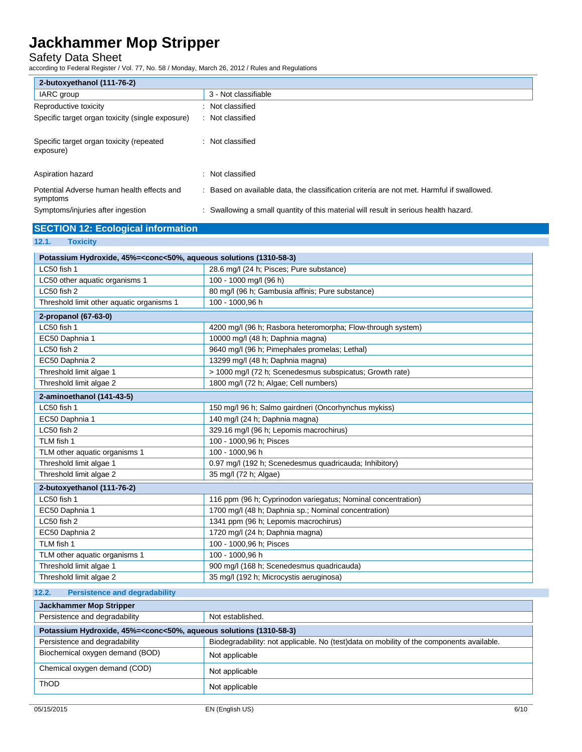## Safety Data Sheet

according to Federal Register / Vol. 77, No. 58 / Monday, March 26, 2012 / Rules and Regulations

| 2-butoxyethanol (111-76-2)                             |                                                                                           |
|--------------------------------------------------------|-------------------------------------------------------------------------------------------|
| IARC group                                             | 3 - Not classifiable                                                                      |
| Reproductive toxicity                                  | : Not classified                                                                          |
| Specific target organ toxicity (single exposure)       | : Not classified                                                                          |
| Specific target organ toxicity (repeated<br>exposure)  | : Not classified                                                                          |
| Aspiration hazard                                      | Not classified<br>÷.                                                                      |
| Potential Adverse human health effects and<br>symptoms | : Based on available data, the classification criteria are not met. Harmful if swallowed. |
| Symptoms/injuries after ingestion                      | Swallowing a small quantity of this material will result in serious health hazard.        |

## **SECTION 12: Ecological information**

## **12.1. Toxicity**

| Potassium Hydroxide, 45%= <conc<50%, (1310-58-3)<="" aqueous="" solutions="" th=""></conc<50%,> |                                                              |  |
|-------------------------------------------------------------------------------------------------|--------------------------------------------------------------|--|
| LC50 fish 1                                                                                     | 28.6 mg/l (24 h; Pisces; Pure substance)                     |  |
| LC50 other aquatic organisms 1                                                                  | 100 - 1000 mg/l (96 h)                                       |  |
| LC50 fish 2                                                                                     | 80 mg/l (96 h; Gambusia affinis; Pure substance)             |  |
| Threshold limit other aquatic organisms 1                                                       | 100 - 1000,96 h                                              |  |
| 2-propanol (67-63-0)                                                                            |                                                              |  |
| LC50 fish 1                                                                                     | 4200 mg/l (96 h; Rasbora heteromorpha; Flow-through system)  |  |
| EC50 Daphnia 1                                                                                  | 10000 mg/l (48 h; Daphnia magna)                             |  |
| LC50 fish 2                                                                                     | 9640 mg/l (96 h; Pimephales promelas; Lethal)                |  |
| EC50 Daphnia 2                                                                                  | 13299 mg/l (48 h; Daphnia magna)                             |  |
| Threshold limit algae 1                                                                         | > 1000 mg/l (72 h; Scenedesmus subspicatus; Growth rate)     |  |
| Threshold limit algae 2                                                                         | 1800 mg/l (72 h; Algae; Cell numbers)                        |  |
| 2-aminoethanol (141-43-5)                                                                       |                                                              |  |
| LC50 fish 1                                                                                     | 150 mg/l 96 h; Salmo gairdneri (Oncorhynchus mykiss)         |  |
| EC50 Daphnia 1                                                                                  | 140 mg/l (24 h; Daphnia magna)                               |  |
| LC50 fish 2                                                                                     | 329.16 mg/l (96 h; Lepomis macrochirus)                      |  |
| TLM fish 1                                                                                      | 100 - 1000,96 h; Pisces                                      |  |
| TLM other aquatic organisms 1                                                                   | 100 - 1000.96 h                                              |  |
| Threshold limit algae 1                                                                         | 0.97 mg/l (192 h; Scenedesmus quadricauda; Inhibitory)       |  |
| Threshold limit algae 2                                                                         | 35 mg/l (72 h; Algae)                                        |  |
| 2-butoxyethanol (111-76-2)                                                                      |                                                              |  |
| LC50 fish 1                                                                                     | 116 ppm (96 h; Cyprinodon variegatus; Nominal concentration) |  |
| EC50 Daphnia 1                                                                                  | 1700 mg/l (48 h; Daphnia sp.; Nominal concentration)         |  |
| LC50 fish 2                                                                                     | 1341 ppm (96 h; Lepomis macrochirus)                         |  |
| EC50 Daphnia 2                                                                                  | 1720 mg/l (24 h; Daphnia magna)                              |  |
| TLM fish 1                                                                                      | 100 - 1000,96 h; Pisces                                      |  |
| TLM other aquatic organisms 1                                                                   | 100 - 1000,96 h                                              |  |
| Threshold limit algae 1                                                                         | 900 mg/l (168 h; Scenedesmus quadricauda)                    |  |
| Threshold limit algae 2                                                                         | 35 mg/l (192 h; Microcystis aeruginosa)                      |  |

## **12.2. Persistence and degradability**

| <b>Jackhammer Mop Stripper</b>                                                                  |                                                                                          |
|-------------------------------------------------------------------------------------------------|------------------------------------------------------------------------------------------|
| Persistence and degradability                                                                   | Not established.                                                                         |
| Potassium Hydroxide, 45%= <conc<50%, (1310-58-3)<="" aqueous="" solutions="" th=""></conc<50%,> |                                                                                          |
| Persistence and degradability                                                                   | Biodegradability: not applicable. No (test)data on mobility of the components available. |
| Biochemical oxygen demand (BOD)                                                                 | Not applicable                                                                           |
| Chemical oxygen demand (COD)                                                                    | Not applicable                                                                           |
| <b>ThOD</b>                                                                                     | Not applicable                                                                           |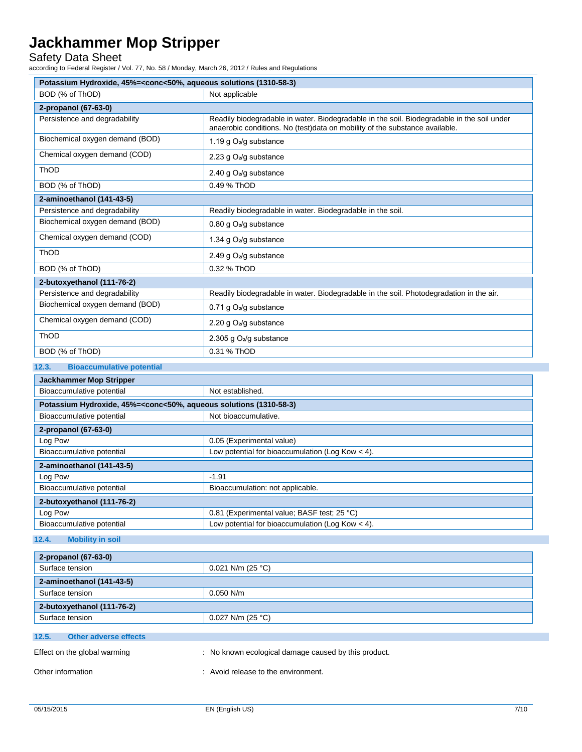Safety Data Sheet

according to Federal Register / Vol. 77, No. 58 / Monday, March 26, 2012 / Rules and Regulations

| Potassium Hydroxide, 45%= <conc<50%, (1310-58-3)<="" aqueous="" solutions="" th=""></conc<50%,>          |                                                                                                                                                                           |  |
|----------------------------------------------------------------------------------------------------------|---------------------------------------------------------------------------------------------------------------------------------------------------------------------------|--|
| BOD (% of ThOD)<br>Not applicable                                                                        |                                                                                                                                                                           |  |
| 2-propanol (67-63-0)                                                                                     |                                                                                                                                                                           |  |
| Persistence and degradability                                                                            | Readily biodegradable in water. Biodegradable in the soil. Biodegradable in the soil under<br>anaerobic conditions. No (test)data on mobility of the substance available. |  |
| Biochemical oxygen demand (BOD)                                                                          | 1.19 g O <sub>2</sub> /g substance                                                                                                                                        |  |
| Chemical oxygen demand (COD)                                                                             | 2.23 g $O_2$ /g substance                                                                                                                                                 |  |
| ThOD                                                                                                     | 2.40 g $O_2$ /g substance                                                                                                                                                 |  |
| BOD (% of ThOD)                                                                                          | 0.49 % ThOD                                                                                                                                                               |  |
| 2-aminoethanol (141-43-5)                                                                                |                                                                                                                                                                           |  |
| Persistence and degradability                                                                            | Readily biodegradable in water. Biodegradable in the soil.                                                                                                                |  |
| Biochemical oxygen demand (BOD)                                                                          | 0.80 g $O_2$ /g substance                                                                                                                                                 |  |
| Chemical oxygen demand (COD)                                                                             | 1.34 g O <sub>2</sub> /g substance                                                                                                                                        |  |
| ThOD                                                                                                     | 2.49 g $O_2$ /g substance                                                                                                                                                 |  |
| BOD (% of ThOD)                                                                                          | 0.32 % ThOD                                                                                                                                                               |  |
| 2-butoxyethanol (111-76-2)                                                                               |                                                                                                                                                                           |  |
| Persistence and degradability                                                                            | Readily biodegradable in water. Biodegradable in the soil. Photodegradation in the air.                                                                                   |  |
| Biochemical oxygen demand (BOD)                                                                          | 0.71 g $O_2$ /g substance                                                                                                                                                 |  |
| Chemical oxygen demand (COD)                                                                             | 2.20 g $O_2/g$ substance                                                                                                                                                  |  |
| ThOD                                                                                                     | 2.305 g O <sub>2</sub> /g substance                                                                                                                                       |  |
| BOD (% of ThOD)                                                                                          | 0.31 % ThOD                                                                                                                                                               |  |
| 12.3.<br><b>Bioaccumulative potential</b>                                                                |                                                                                                                                                                           |  |
| <b>Jackhammer Mop Stripper</b>                                                                           |                                                                                                                                                                           |  |
| Bioaccumulative potential                                                                                | Not established.                                                                                                                                                          |  |
| Potassium Hydroxide, 45%= <conc<50%, (1310-58-3)<="" aqueous="" solutions="" td=""><td></td></conc<50%,> |                                                                                                                                                                           |  |
| Bioaccumulative potential                                                                                | Not bioaccumulative.                                                                                                                                                      |  |
| 2-propanol (67-63-0)                                                                                     |                                                                                                                                                                           |  |
| Log Pow                                                                                                  | 0.05 (Experimental value)                                                                                                                                                 |  |
| Bioaccumulative potential                                                                                | Low potential for bioaccumulation (Log Kow $<$ 4).                                                                                                                        |  |
| 2-aminoethanol (141-43-5)                                                                                |                                                                                                                                                                           |  |
| Log Pow                                                                                                  | $-1.91$                                                                                                                                                                   |  |
| Bioaccumulative potential                                                                                | Bioaccumulation: not applicable.                                                                                                                                          |  |
| 2-butoxyethanol (111-76-2)                                                                               |                                                                                                                                                                           |  |
| Log Pow                                                                                                  | 0.81 (Experimental value; BASF test; 25 °C)                                                                                                                               |  |
| Bioaccumulative potential                                                                                | Low potential for bioaccumulation (Log Kow $<$ 4).                                                                                                                        |  |
| 12.4.<br><b>Mobility in soil</b>                                                                         |                                                                                                                                                                           |  |
| 2-propanol (67-63-0)                                                                                     |                                                                                                                                                                           |  |

| 2-propanol (67-63-0)                  |                                                      |
|---------------------------------------|------------------------------------------------------|
| Surface tension                       | $0.021$ N/m (25 °C)                                  |
| 2-aminoethanol (141-43-5)             |                                                      |
| Surface tension                       | $0.050$ N/m                                          |
| 2-butoxyethanol (111-76-2)            |                                                      |
| Surface tension                       | $0.027$ N/m (25 °C)                                  |
| 12.5.<br><b>Other adverse effects</b> |                                                      |
| Effect on the global warming          | : No known ecological damage caused by this product. |

Other information  $\qquad \qquad$ : Avoid release to the environment.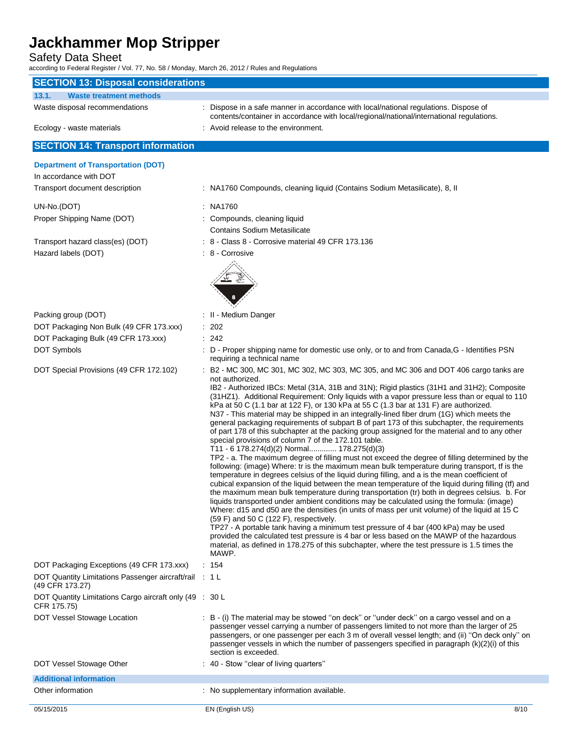## Safety Data Sheet

according to Federal Register / Vol. 77, No. 58 / Monday, March 26, 2012 / Rules and Regulations

| <b>SECTION 13: Disposal considerations</b>                                |                                                                                                                                                                                                                                                                                                                                                                                                                                                                                                                                                                                                                                                                                                                                                                                                                                                                                                                                                                                                                                                                                                                                                                                                                                                                                                                                                                                                                                                                                                                                                                                                                                                                                                                                                              |
|---------------------------------------------------------------------------|--------------------------------------------------------------------------------------------------------------------------------------------------------------------------------------------------------------------------------------------------------------------------------------------------------------------------------------------------------------------------------------------------------------------------------------------------------------------------------------------------------------------------------------------------------------------------------------------------------------------------------------------------------------------------------------------------------------------------------------------------------------------------------------------------------------------------------------------------------------------------------------------------------------------------------------------------------------------------------------------------------------------------------------------------------------------------------------------------------------------------------------------------------------------------------------------------------------------------------------------------------------------------------------------------------------------------------------------------------------------------------------------------------------------------------------------------------------------------------------------------------------------------------------------------------------------------------------------------------------------------------------------------------------------------------------------------------------------------------------------------------------|
| 13.1.<br><b>Waste treatment methods</b>                                   |                                                                                                                                                                                                                                                                                                                                                                                                                                                                                                                                                                                                                                                                                                                                                                                                                                                                                                                                                                                                                                                                                                                                                                                                                                                                                                                                                                                                                                                                                                                                                                                                                                                                                                                                                              |
| Waste disposal recommendations                                            | : Dispose in a safe manner in accordance with local/national regulations. Dispose of<br>contents/container in accordance with local/regional/national/international regulations.                                                                                                                                                                                                                                                                                                                                                                                                                                                                                                                                                                                                                                                                                                                                                                                                                                                                                                                                                                                                                                                                                                                                                                                                                                                                                                                                                                                                                                                                                                                                                                             |
| Ecology - waste materials                                                 | : Avoid release to the environment.                                                                                                                                                                                                                                                                                                                                                                                                                                                                                                                                                                                                                                                                                                                                                                                                                                                                                                                                                                                                                                                                                                                                                                                                                                                                                                                                                                                                                                                                                                                                                                                                                                                                                                                          |
| <b>SECTION 14: Transport information</b>                                  |                                                                                                                                                                                                                                                                                                                                                                                                                                                                                                                                                                                                                                                                                                                                                                                                                                                                                                                                                                                                                                                                                                                                                                                                                                                                                                                                                                                                                                                                                                                                                                                                                                                                                                                                                              |
| <b>Department of Transportation (DOT)</b>                                 |                                                                                                                                                                                                                                                                                                                                                                                                                                                                                                                                                                                                                                                                                                                                                                                                                                                                                                                                                                                                                                                                                                                                                                                                                                                                                                                                                                                                                                                                                                                                                                                                                                                                                                                                                              |
| In accordance with DOT                                                    |                                                                                                                                                                                                                                                                                                                                                                                                                                                                                                                                                                                                                                                                                                                                                                                                                                                                                                                                                                                                                                                                                                                                                                                                                                                                                                                                                                                                                                                                                                                                                                                                                                                                                                                                                              |
| Transport document description                                            | : NA1760 Compounds, cleaning liquid (Contains Sodium Metasilicate), 8, II                                                                                                                                                                                                                                                                                                                                                                                                                                                                                                                                                                                                                                                                                                                                                                                                                                                                                                                                                                                                                                                                                                                                                                                                                                                                                                                                                                                                                                                                                                                                                                                                                                                                                    |
| UN-No.(DOT)                                                               | : NA1760                                                                                                                                                                                                                                                                                                                                                                                                                                                                                                                                                                                                                                                                                                                                                                                                                                                                                                                                                                                                                                                                                                                                                                                                                                                                                                                                                                                                                                                                                                                                                                                                                                                                                                                                                     |
| Proper Shipping Name (DOT)                                                | : Compounds, cleaning liquid                                                                                                                                                                                                                                                                                                                                                                                                                                                                                                                                                                                                                                                                                                                                                                                                                                                                                                                                                                                                                                                                                                                                                                                                                                                                                                                                                                                                                                                                                                                                                                                                                                                                                                                                 |
|                                                                           | <b>Contains Sodium Metasilicate</b>                                                                                                                                                                                                                                                                                                                                                                                                                                                                                                                                                                                                                                                                                                                                                                                                                                                                                                                                                                                                                                                                                                                                                                                                                                                                                                                                                                                                                                                                                                                                                                                                                                                                                                                          |
| Transport hazard class(es) (DOT)                                          | : 8 - Class 8 - Corrosive material 49 CFR 173.136                                                                                                                                                                                                                                                                                                                                                                                                                                                                                                                                                                                                                                                                                                                                                                                                                                                                                                                                                                                                                                                                                                                                                                                                                                                                                                                                                                                                                                                                                                                                                                                                                                                                                                            |
| Hazard labels (DOT)                                                       | : 8 - Corrosive                                                                                                                                                                                                                                                                                                                                                                                                                                                                                                                                                                                                                                                                                                                                                                                                                                                                                                                                                                                                                                                                                                                                                                                                                                                                                                                                                                                                                                                                                                                                                                                                                                                                                                                                              |
|                                                                           |                                                                                                                                                                                                                                                                                                                                                                                                                                                                                                                                                                                                                                                                                                                                                                                                                                                                                                                                                                                                                                                                                                                                                                                                                                                                                                                                                                                                                                                                                                                                                                                                                                                                                                                                                              |
|                                                                           |                                                                                                                                                                                                                                                                                                                                                                                                                                                                                                                                                                                                                                                                                                                                                                                                                                                                                                                                                                                                                                                                                                                                                                                                                                                                                                                                                                                                                                                                                                                                                                                                                                                                                                                                                              |
|                                                                           |                                                                                                                                                                                                                                                                                                                                                                                                                                                                                                                                                                                                                                                                                                                                                                                                                                                                                                                                                                                                                                                                                                                                                                                                                                                                                                                                                                                                                                                                                                                                                                                                                                                                                                                                                              |
|                                                                           |                                                                                                                                                                                                                                                                                                                                                                                                                                                                                                                                                                                                                                                                                                                                                                                                                                                                                                                                                                                                                                                                                                                                                                                                                                                                                                                                                                                                                                                                                                                                                                                                                                                                                                                                                              |
| Packing group (DOT)                                                       | : II - Medium Danger                                                                                                                                                                                                                                                                                                                                                                                                                                                                                                                                                                                                                                                                                                                                                                                                                                                                                                                                                                                                                                                                                                                                                                                                                                                                                                                                                                                                                                                                                                                                                                                                                                                                                                                                         |
| DOT Packaging Non Bulk (49 CFR 173.xxx)                                   | $\therefore$ 202                                                                                                                                                                                                                                                                                                                                                                                                                                                                                                                                                                                                                                                                                                                                                                                                                                                                                                                                                                                                                                                                                                                                                                                                                                                                                                                                                                                                                                                                                                                                                                                                                                                                                                                                             |
| DOT Packaging Bulk (49 CFR 173.xxx)<br>DOT Symbols                        | : 242<br>: D - Proper shipping name for domestic use only, or to and from Canada, G - Identifies PSN                                                                                                                                                                                                                                                                                                                                                                                                                                                                                                                                                                                                                                                                                                                                                                                                                                                                                                                                                                                                                                                                                                                                                                                                                                                                                                                                                                                                                                                                                                                                                                                                                                                         |
|                                                                           | requiring a technical name                                                                                                                                                                                                                                                                                                                                                                                                                                                                                                                                                                                                                                                                                                                                                                                                                                                                                                                                                                                                                                                                                                                                                                                                                                                                                                                                                                                                                                                                                                                                                                                                                                                                                                                                   |
| DOT Special Provisions (49 CFR 172.102)                                   | : B2 - MC 300, MC 301, MC 302, MC 303, MC 305, and MC 306 and DOT 406 cargo tanks are                                                                                                                                                                                                                                                                                                                                                                                                                                                                                                                                                                                                                                                                                                                                                                                                                                                                                                                                                                                                                                                                                                                                                                                                                                                                                                                                                                                                                                                                                                                                                                                                                                                                        |
|                                                                           | not authorized.<br>IB2 - Authorized IBCs: Metal (31A, 31B and 31N); Rigid plastics (31H1 and 31H2); Composite<br>(31HZ1). Additional Requirement: Only liquids with a vapor pressure less than or equal to 110<br>kPa at 50 C (1.1 bar at 122 F), or 130 kPa at 55 C (1.3 bar at 131 F) are authorized.<br>N37 - This material may be shipped in an integrally-lined fiber drum (1G) which meets the<br>general packaging requirements of subpart B of part 173 of this subchapter, the requirements<br>of part 178 of this subchapter at the packing group assigned for the material and to any other<br>special provisions of column 7 of the 172.101 table.<br>T11 - 6 178.274(d)(2) Normal 178.275(d)(3)<br>TP2 - a. The maximum degree of filling must not exceed the degree of filling determined by the<br>following: (image) Where: tr is the maximum mean bulk temperature during transport, tf is the<br>temperature in degrees celsius of the liquid during filling, and a is the mean coefficient of<br>cubical expansion of the liquid between the mean temperature of the liquid during filling (tf) and<br>the maximum mean bulk temperature during transportation (tr) both in degrees celsius. b. For<br>liquids transported under ambient conditions may be calculated using the formula: (image)<br>Where: d15 and d50 are the densities (in units of mass per unit volume) of the liquid at 15 C<br>(59 F) and 50 C (122 F), respectively.<br>TP27 - A portable tank having a minimum test pressure of 4 bar (400 kPa) may be used<br>provided the calculated test pressure is 4 bar or less based on the MAWP of the hazardous<br>material, as defined in 178.275 of this subchapter, where the test pressure is 1.5 times the<br>MAWP. |
| DOT Packaging Exceptions (49 CFR 173.xxx)                                 | : 154                                                                                                                                                                                                                                                                                                                                                                                                                                                                                                                                                                                                                                                                                                                                                                                                                                                                                                                                                                                                                                                                                                                                                                                                                                                                                                                                                                                                                                                                                                                                                                                                                                                                                                                                                        |
| DOT Quantity Limitations Passenger aircraft/rail : 1 L<br>(49 CFR 173.27) |                                                                                                                                                                                                                                                                                                                                                                                                                                                                                                                                                                                                                                                                                                                                                                                                                                                                                                                                                                                                                                                                                                                                                                                                                                                                                                                                                                                                                                                                                                                                                                                                                                                                                                                                                              |
| DOT Quantity Limitations Cargo aircraft only (49 : 30 L<br>CFR 175.75)    |                                                                                                                                                                                                                                                                                                                                                                                                                                                                                                                                                                                                                                                                                                                                                                                                                                                                                                                                                                                                                                                                                                                                                                                                                                                                                                                                                                                                                                                                                                                                                                                                                                                                                                                                                              |
| DOT Vessel Stowage Location                                               | : B - (i) The material may be stowed "on deck" or "under deck" on a cargo vessel and on a<br>passenger vessel carrying a number of passengers limited to not more than the larger of 25<br>passengers, or one passenger per each 3 m of overall vessel length; and (ii) "On deck only" on<br>passenger vessels in which the number of passengers specified in paragraph (k)(2)(i) of this<br>section is exceeded.                                                                                                                                                                                                                                                                                                                                                                                                                                                                                                                                                                                                                                                                                                                                                                                                                                                                                                                                                                                                                                                                                                                                                                                                                                                                                                                                            |
| DOT Vessel Stowage Other                                                  | : 40 - Stow "clear of living quarters"                                                                                                                                                                                                                                                                                                                                                                                                                                                                                                                                                                                                                                                                                                                                                                                                                                                                                                                                                                                                                                                                                                                                                                                                                                                                                                                                                                                                                                                                                                                                                                                                                                                                                                                       |
| <b>Additional information</b>                                             |                                                                                                                                                                                                                                                                                                                                                                                                                                                                                                                                                                                                                                                                                                                                                                                                                                                                                                                                                                                                                                                                                                                                                                                                                                                                                                                                                                                                                                                                                                                                                                                                                                                                                                                                                              |
| Other information                                                         | : No supplementary information available.                                                                                                                                                                                                                                                                                                                                                                                                                                                                                                                                                                                                                                                                                                                                                                                                                                                                                                                                                                                                                                                                                                                                                                                                                                                                                                                                                                                                                                                                                                                                                                                                                                                                                                                    |
| 05/15/2015                                                                | EN (English US)<br>8/10                                                                                                                                                                                                                                                                                                                                                                                                                                                                                                                                                                                                                                                                                                                                                                                                                                                                                                                                                                                                                                                                                                                                                                                                                                                                                                                                                                                                                                                                                                                                                                                                                                                                                                                                      |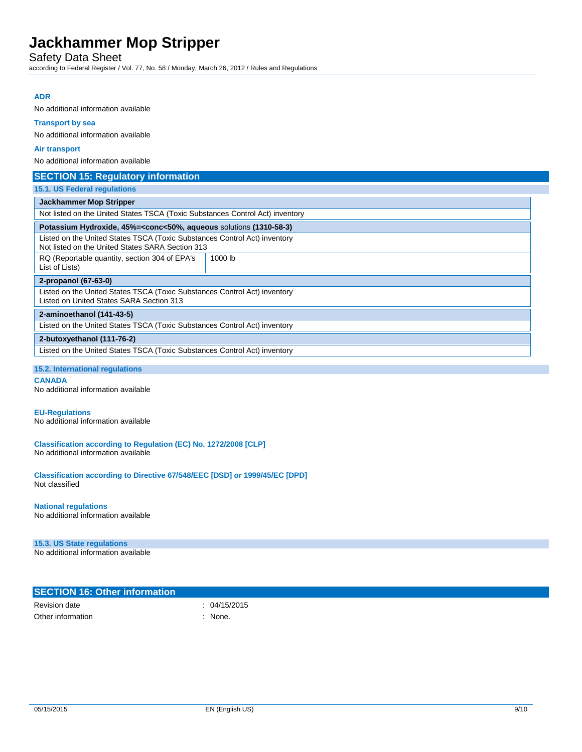Safety Data Sheet

according to Federal Register / Vol. 77, No. 58 / Monday, March 26, 2012 / Rules and Regulations

## **ADR**

No additional information available

### **Transport by sea**

No additional information available

#### **Air transport**

No additional information available

| <b>SECTION 15: Regulatory information</b>                                                                                     |         |
|-------------------------------------------------------------------------------------------------------------------------------|---------|
| 15.1. US Federal regulations                                                                                                  |         |
| <b>Jackhammer Mop Stripper</b>                                                                                                |         |
| Not listed on the United States TSCA (Toxic Substances Control Act) inventory                                                 |         |
| Potassium Hydroxide, 45%= <conc<50%, (1310-58-3)<="" aqueous="" solutions="" td=""></conc<50%,>                               |         |
| Listed on the United States TSCA (Toxic Substances Control Act) inventory<br>Not listed on the United States SARA Section 313 |         |
| RQ (Reportable quantity, section 304 of EPA's<br>List of Lists)                                                               | 1000 lb |
| 2-propanol (67-63-0)                                                                                                          |         |
| Listed on the United States TSCA (Toxic Substances Control Act) inventory<br>Listed on United States SARA Section 313         |         |
| 2-aminoethanol (141-43-5)                                                                                                     |         |
| Listed on the United States TSCA (Toxic Substances Control Act) inventory                                                     |         |
| 2-butoxyethanol (111-76-2)                                                                                                    |         |
| Listed on the United States TSCA (Toxic Substances Control Act) inventory                                                     |         |

#### **15.2. International regulations**

**CANADA**

No additional information available

### **EU-Regulations**

No additional information available

**Classification according to Regulation (EC) No. 1272/2008 [CLP]** No additional information available

**Classification according to Directive 67/548/EEC [DSD] or 1999/45/EC [DPD]** Not classified

#### **National regulations**

No additional information available

#### **15.3. US State regulations**

No additional information available

| <b>SECTION 16: Other information</b> |              |
|--------------------------------------|--------------|
| Revision date                        | : 04/15/2015 |
| Other information                    | None.        |